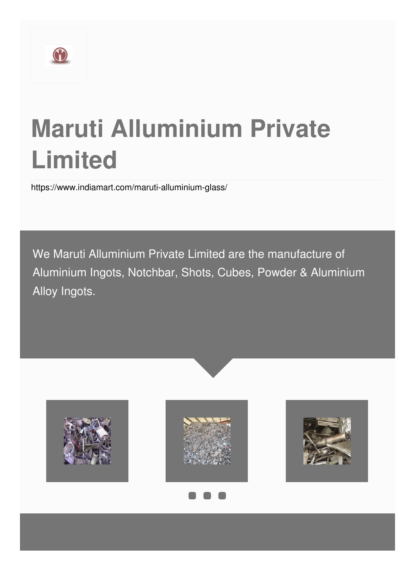

# **Maruti Alluminium Private Limited**

<https://www.indiamart.com/maruti-alluminium-glass/>

We Maruti Alluminium Private Limited are the manufacture of Aluminium Ingots, Notchbar, Shots, Cubes, Powder & Aluminium Alloy Ingots.

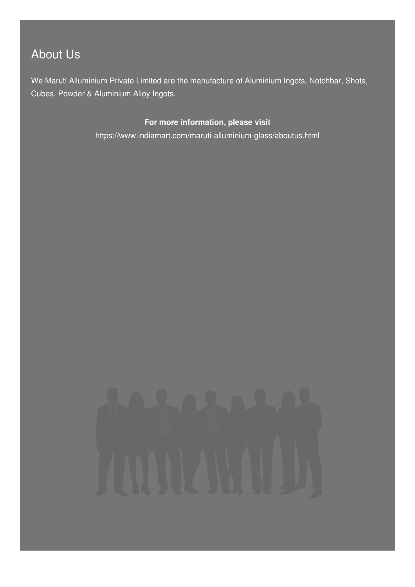# About Us

We Maruti Alluminium Private Limited are the manufacture of Aluminium Ingots, Notchbar, Shots, Cubes, Powder & Aluminium Alloy Ingots.

#### **For more information, please visit**

<https://www.indiamart.com/maruti-alluminium-glass/aboutus.html>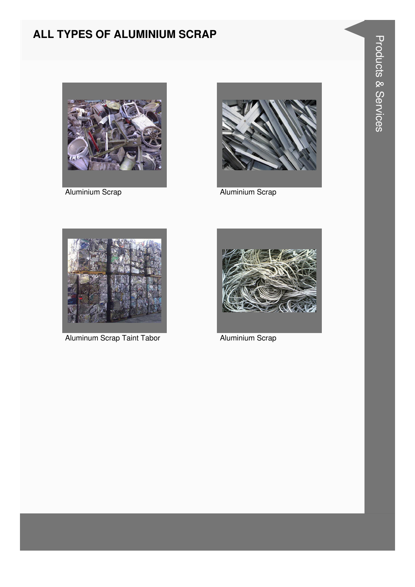# ALL TYPES OF ALUMINIUM SCRAP



**Aluminium Scrap** 



**Aluminium Scrap** 



Aluminum Scrap Taint Tabor



**Aluminium Scrap**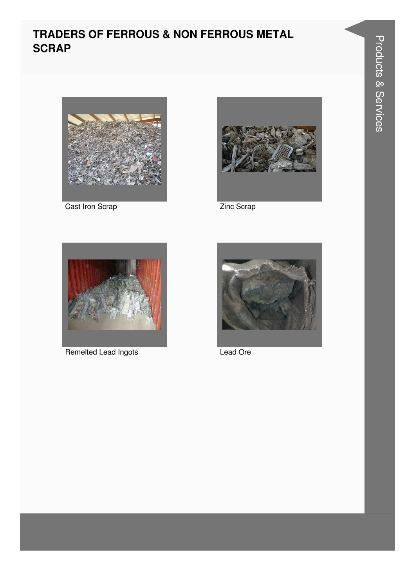# **TRADERS OF FERROUS & NON FERROUS METAL SCRAP**



Cast Iron Scrap



Zinc Scrap



Remelted Lead Ingots



Lead Ore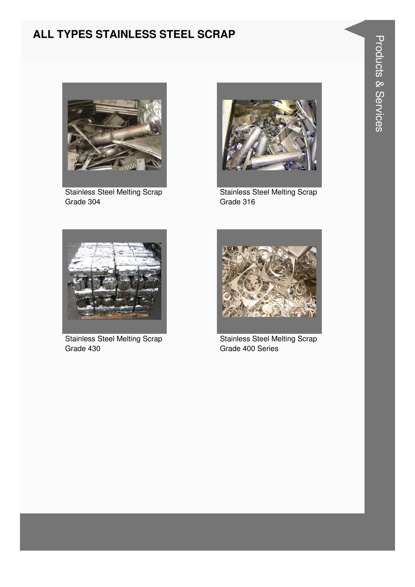# ALL TYPES STAINLESS STEEL SCRAP



**Stainless Steel Melting Scrap** Grade 304



**Stainless Steel Melting Scrap** Grade 316



**Stainless Steel Melting Scrap** Grade 430



**Stainless Steel Melting Scrap** Grade 400 Series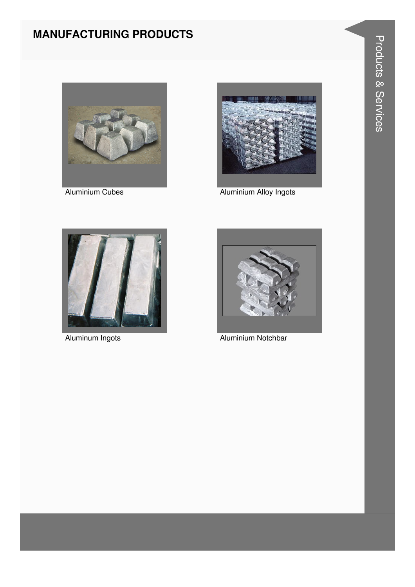# **MANUFACTURING PRODUCTS**



**Aluminium Cubes** 



**Aluminium Alloy Ingots** 



Aluminum Ingots



**Aluminium Notchbar**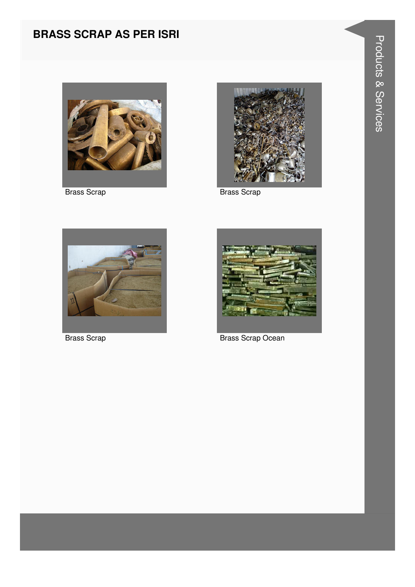# **BRASS SCRAP AS PER ISRI**



**Brass Scrap** 



**Brass Scrap** 



**Brass Scrap** 



**Brass Scrap Ocean**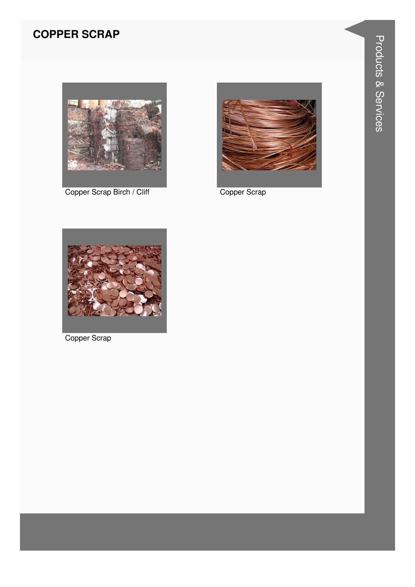# **COPPER SCRAP**



Copper Scrap Birch / Cliff Copper Scrap





Copper Scrap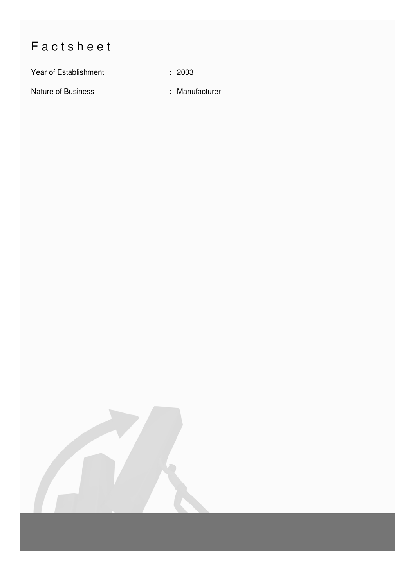# Factsheet

Year of Establishment : 2003

Nature of Business **in American State State International State International State International State International State International State International State International State International State International Stat**